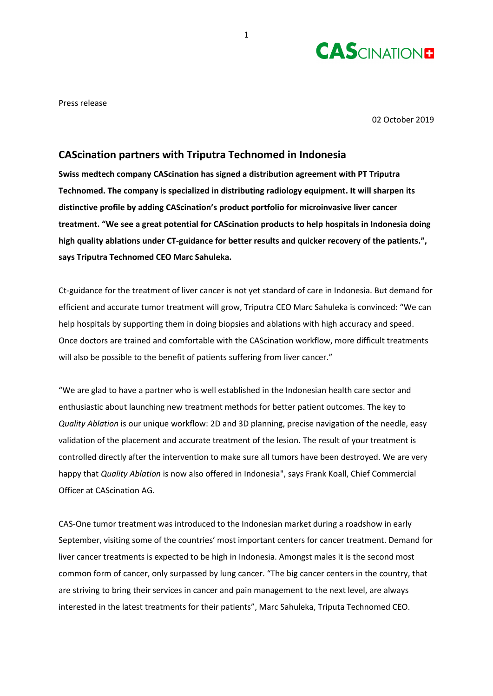

Press release

02 October 2019

## **CAScination partners with Triputra Technomed in Indonesia**

**Swiss medtech company CAScination has signed a distribution agreement with PT Triputra Technomed. The company is specialized in distributing radiology equipment. It will sharpen its distinctive profile by adding CAScination's product portfolio for microinvasive liver cancer treatment. "We see a great potential for CAScination products to help hospitals in Indonesia doing high quality ablations under CT-guidance for better results and quicker recovery of the patients.", says Triputra Technomed CEO Marc Sahuleka.**

Ct-guidance for the treatment of liver cancer is not yet standard of care in Indonesia. But demand for efficient and accurate tumor treatment will grow, Triputra CEO Marc Sahuleka is convinced: "We can help hospitals by supporting them in doing biopsies and ablations with high accuracy and speed. Once doctors are trained and comfortable with the CAScination workflow, more difficult treatments will also be possible to the benefit of patients suffering from liver cancer."

"We are glad to have a partner who is well established in the Indonesian health care sector and enthusiastic about launching new treatment methods for better patient outcomes. The key to *Quality Ablation* is our unique workflow: 2D and 3D planning, precise navigation of the needle, easy validation of the placement and accurate treatment of the lesion. The result of your treatment is controlled directly after the intervention to make sure all tumors have been destroyed. We are very happy that *Quality Ablation* is now also offered in Indonesia", says Frank Koall, Chief Commercial Officer at CAScination AG.

CAS-One tumor treatment was introduced to the Indonesian market during a roadshow in early September, visiting some of the countries' most important centers for cancer treatment. Demand for liver cancer treatments is expected to be high in Indonesia. Amongst males it is the second most common form of cancer, only surpassed by lung cancer. "The big cancer centers in the country, that are striving to bring their services in cancer and pain management to the next level, are always interested in the latest treatments for their patients", Marc Sahuleka, Triputa Technomed CEO.